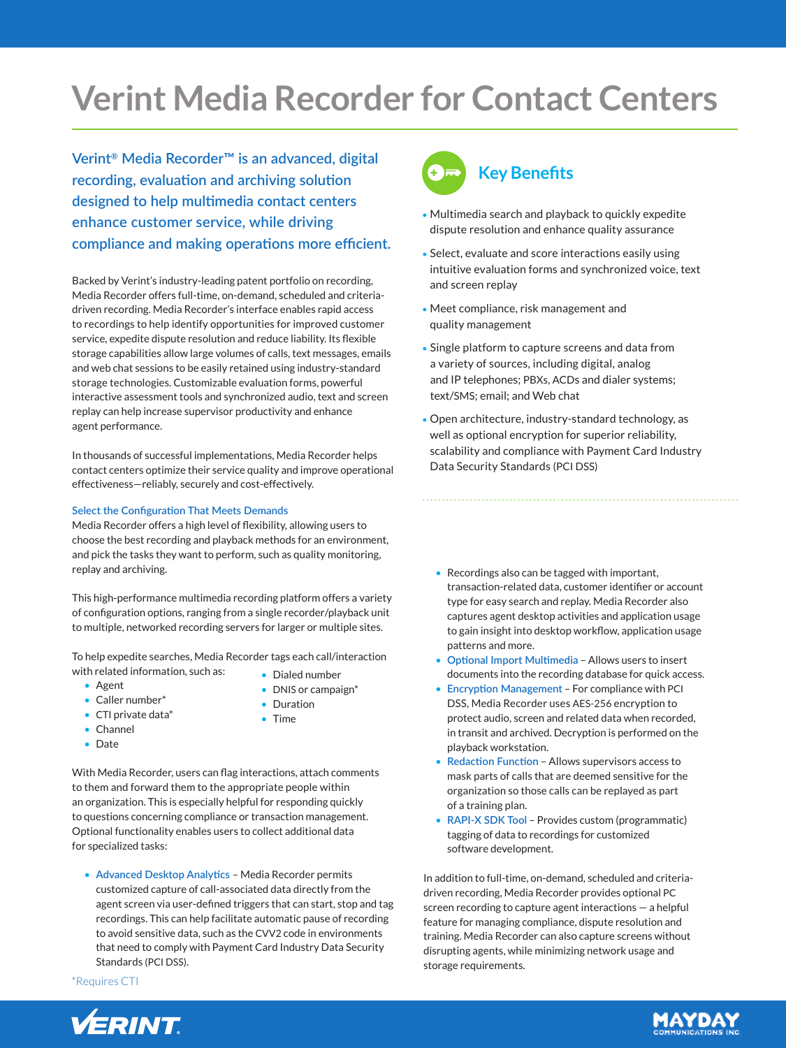# **Verint Media Recorder for Contact Centers**

**Verint® Media Recorder™ is an advanced, digital recording, evaluation and archiving solution designed to help multimedia contact centers enhance customer service, while driving compliance and making operations more efficient.**

Backed by Verint's industry-leading patent portfolio on recording, Media Recorder offers full-time, on-demand, scheduled and criteriadriven recording. Media Recorder's interface enables rapid access to recordings to help identify opportunities for improved customer service, expedite dispute resolution and reduce liability. Its flexible storage capabilities allow large volumes of calls, text messages, emails and web chat sessions to be easily retained using industry-standard storage technologies. Customizable evaluation forms, powerful interactive assessment tools and synchronized audio, text and screen replay can help increase supervisor productivity and enhance agent performance.

In thousands of successful implementations, Media Recorder helps contact centers optimize their service quality and improve operational effectiveness—reliably, securely and cost-effectively.

# **Select the Configuration That Meets Demands**

Media Recorder offers a high level of flexibility, allowing users to choose the best recording and playback methods for an environment, and pick the tasks they want to perform, such as quality monitoring, replay and archiving.

This high-performance multimedia recording platform offers a variety of configuration options, ranging from a single recorder/playback unit to multiple, networked recording servers for larger or multiple sites.

To help expedite searches, Media Recorder tags each call/interaction with related information, such as: • Dialed number

- Agent
- Caller number\*
- CTI private data\*
- Channel
- Date
- 
- DNIS or campaign\*
- Duration
- Time

With Media Recorder, users can flag interactions, attach comments to them and forward them to the appropriate people within an organization. This is especially helpful for responding quickly to questions concerning compliance or transaction management. Optional functionality enables users to collect additional data for specialized tasks:

• **Advanced Desktop Analytics** – Media Recorder permits customized capture of call-associated data directly from the agent screen via user-defined triggers that can start, stop and tag recordings. This can help facilitate automatic pause of recording to avoid sensitive data, such as the CVV2 code in environments that need to comply with Payment Card Industry Data Security Standards (PCI DSS).

\*Requires CTI



# **Key Benefits**

- Multimedia search and playback to quickly expedite dispute resolution and enhance quality assurance
- Select, evaluate and score interactions easily using intuitive evaluation forms and synchronized voice, text and screen replay
- Meet compliance, risk management and quality management
- Single platform to capture screens and data from a variety of sources, including digital, analog and IP telephones; PBXs, ACDs and dialer systems; text/SMS; email; and Web chat
- Open architecture, industry-standard technology, as well as optional encryption for superior reliability, scalability and compliance with Payment Card Industry Data Security Standards (PCI DSS)
	- Recordings also can be tagged with important, transaction-related data, customer identifier or account type for easy search and replay. Media Recorder also captures agent desktop activities and application usage to gain insight into desktop workflow, application usage patterns and more.
	- **Optional Import Multimedia** Allows users to insert documents into the recording database for quick access.
	- **Encryption Management** For compliance with PCI DSS, Media Recorder uses AES-256 encryption to protect audio, screen and related data when recorded, in transit and archived. Decryption is performed on the playback workstation.
	- **Redaction Function** Allows supervisors access to mask parts of calls that are deemed sensitive for the organization so those calls can be replayed as part of a training plan.
	- **RAPI-X SDK Tool** Provides custom (programmatic) tagging of data to recordings for customized software development.

In addition to full-time, on-demand, scheduled and criteriadriven recording, Media Recorder provides optional PC screen recording to capture agent interactions — a helpful feature for managing compliance, dispute resolution and training. Media Recorder can also capture screens without disrupting agents, while minimizing network usage and storage requirements.